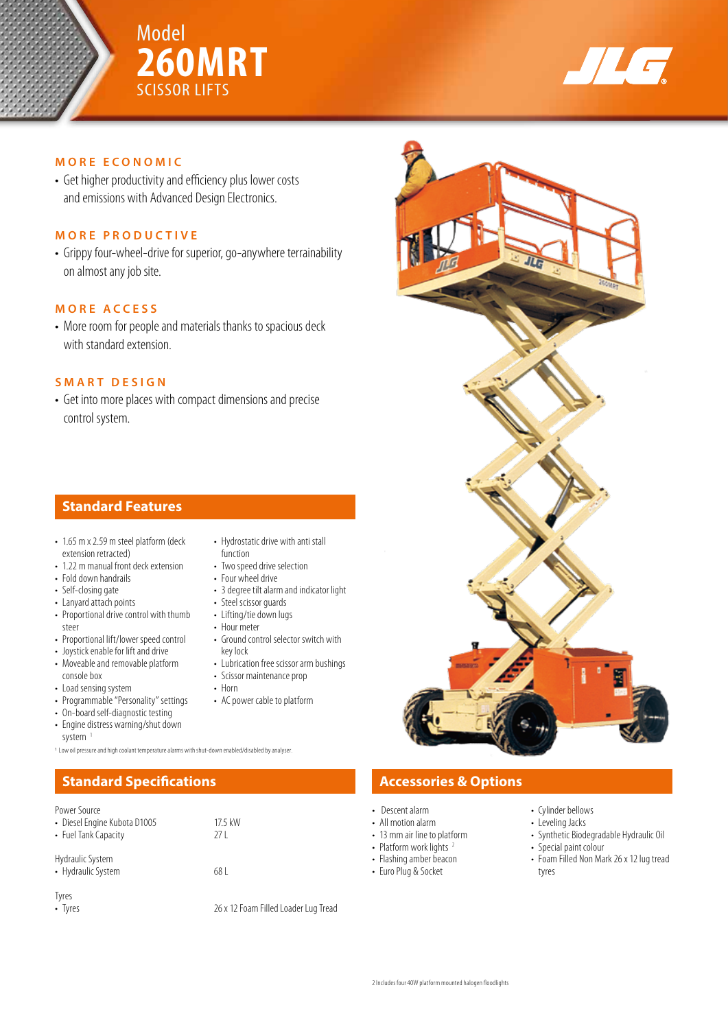



# **MORE ECONOMIC**

• Get higher productivity and efficiency plus lower costs and emissions with Advanced Design Electronics.

# **MORE PRODUCTIVE**

• Grippy four-wheel-drive for superior, go-anywhere terrainability on almost any job site.

### **MORE ACCESS**

• More room for people and materials thanks to spacious deck with standard extension.

# **SMART DESIGN**

• Get into more places with compact dimensions and precise control system.

# **Standard Features**

- 1.65 m x 2.59 m steel platform (deck extension retracted)
- 1.22 m manual front deck extension
- Fold down handrails
- Self-closing gate
- Lanyard attach points • Proportional drive control with thumb
- steer • Proportional lift/lower speed control
- Joystick enable for lift and drive
- Moveable and removable platform console box
- Load sensing system
- Programmable "Personality" settings
- On-board self-diagnostic testing
- Engine distress warning/shut down system<sup>1</sup>

1 Low oil pressure and high coolant temperature alarms with shut-down enabled/disabled by analyser.

### Power Source

| • Diesel Engine Kubota D1005<br>• Fuel Tank Capacity | 17.5 kW<br>27 I                      |
|------------------------------------------------------|--------------------------------------|
| Hydraulic System<br>• Hydraulic System               | 68 I                                 |
| Tyres<br>• Tyres                                     | 26 x 12 Foam Filled Loader Lug Tread |

- Hydrostatic drive with anti stall function
- Two speed drive selection
- Four wheel drive
- 3 degree tilt alarm and indicator light
- Steel scissor guards
- Lifting/tie down lugs
- Hour meter • Ground control selector switch with
- key lock
- Lubrication free scissor arm bushings
- Scissor maintenance prop • Horn
- AC power cable to platform
- **Standard Specifications Accessories & Options** 
	- Descent alarm
	- All motion alarm
	- 13 mm air line to platform
	- Platform work lights<sup>2</sup> • Flashing amber beacon
	- Euro Plug & Socket
- Cylinder bellows • Leveling Jacks
- Synthetic Biodegradable Hydraulic Oil • Special paint colour
- - Foam Filled Non Mark 26 x 12 lug tread tyres